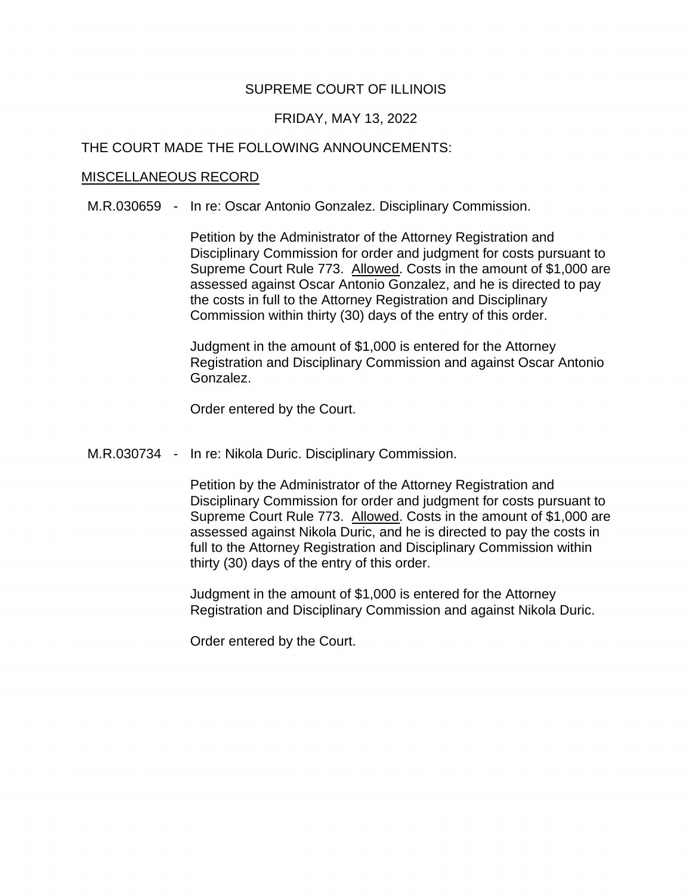# SUPREME COURT OF ILLINOIS

## FRIDAY, MAY 13, 2022

## THE COURT MADE THE FOLLOWING ANNOUNCEMENTS:

#### MISCELLANEOUS RECORD

M.R.030659 - In re: Oscar Antonio Gonzalez. Disciplinary Commission.

Supreme Court Rule 773. Allowed. Costs in the amount of \$1,000 are Petition by the Administrator of the Attorney Registration and Disciplinary Commission for order and judgment for costs pursuant to assessed against Oscar Antonio Gonzalez, and he is directed to pay the costs in full to the Attorney Registration and Disciplinary Commission within thirty (30) days of the entry of this order.

Judgment in the amount of \$1,000 is entered for the Attorney Registration and Disciplinary Commission and against Oscar Antonio Gonzalez.

Order entered by the Court.

M.R.030734 - In re: Nikola Duric. Disciplinary Commission.

Supreme Court Rule 773. Allowed. Costs in the amount of \$1,000 are Petition by the Administrator of the Attorney Registration and Disciplinary Commission for order and judgment for costs pursuant to assessed against Nikola Duric, and he is directed to pay the costs in full to the Attorney Registration and Disciplinary Commission within thirty (30) days of the entry of this order.

Judgment in the amount of \$1,000 is entered for the Attorney Registration and Disciplinary Commission and against Nikola Duric.

Order entered by the Court.